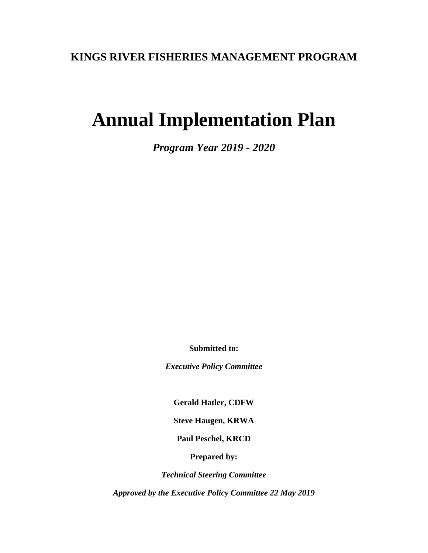## **KINGS RIVER FISHERIES MANAGEMENT PROGRAM**

# **Annual Implementation Plan**

*Program Year 2019 - 2020*

**Submitted to:**

*Executive Policy Committee*

**Gerald Hatler, CDFW**

**Steve Haugen, KRWA**

**Paul Peschel, KRCD**

**Prepared by:**

*Technical Steering Committee*

*Approved by the Executive Policy Committee 22 May 2019*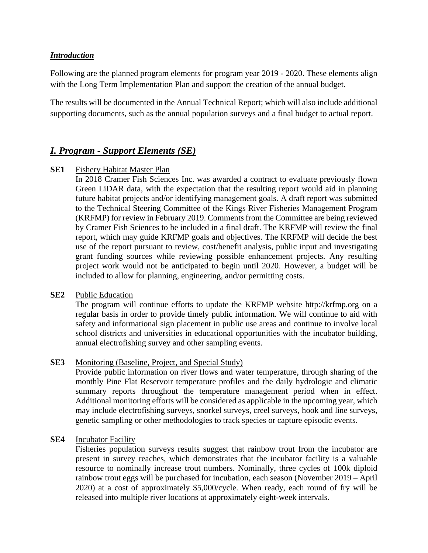#### *Introduction*

Following are the planned program elements for program year 2019 - 2020. These elements align with the Long Term Implementation Plan and support the creation of the annual budget.

The results will be documented in the Annual Technical Report; which will also include additional supporting documents, such as the annual population surveys and a final budget to actual report.

## *I. Program - Support Elements (SE)*

#### **SE1** Fishery Habitat Master Plan

In 2018 Cramer Fish Sciences Inc. was awarded a contract to evaluate previously flown Green LiDAR data, with the expectation that the resulting report would aid in planning future habitat projects and/or identifying management goals. A draft report was submitted to the Technical Steering Committee of the Kings River Fisheries Management Program (KRFMP) for review in February 2019. Comments from the Committee are being reviewed by Cramer Fish Sciences to be included in a final draft. The KRFMP will review the final report, which may guide KRFMP goals and objectives. The KRFMP will decide the best use of the report pursuant to review, cost/benefit analysis, public input and investigating grant funding sources while reviewing possible enhancement projects. Any resulting project work would not be anticipated to begin until 2020. However, a budget will be included to allow for planning, engineering, and/or permitting costs.

#### **SE2** Public Education

The program will continue efforts to update the KRFMP website http://krfmp.org on a regular basis in order to provide timely public information. We will continue to aid with safety and informational sign placement in public use areas and continue to involve local school districts and universities in educational opportunities with the incubator building, annual electrofishing survey and other sampling events.

#### **SE3** Monitoring (Baseline, Project, and Special Study)

Provide public information on river flows and water temperature, through sharing of the monthly Pine Flat Reservoir temperature profiles and the daily hydrologic and climatic summary reports throughout the temperature management period when in effect. Additional monitoring efforts will be considered as applicable in the upcoming year, which may include electrofishing surveys, snorkel surveys, creel surveys, hook and line surveys, genetic sampling or other methodologies to track species or capture episodic events.

#### **SE4** Incubator Facility

Fisheries population surveys results suggest that rainbow trout from the incubator are present in survey reaches, which demonstrates that the incubator facility is a valuable resource to nominally increase trout numbers. Nominally, three cycles of 100k diploid rainbow trout eggs will be purchased for incubation, each season (November 2019 – April 2020) at a cost of approximately \$5,000/cycle. When ready, each round of fry will be released into multiple river locations at approximately eight-week intervals.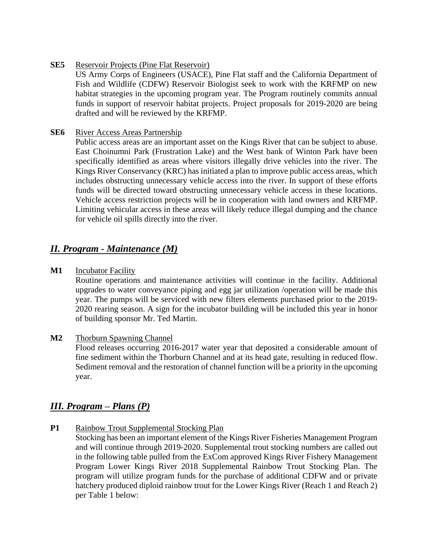**SE5** Reservoir Projects (Pine Flat Reservoir)

US Army Corps of Engineers (USACE), Pine Flat staff and the California Department of Fish and Wildlife (CDFW) Reservoir Biologist seek to work with the KRFMP on new habitat strategies in the upcoming program year. The Program routinely commits annual funds in support of reservoir habitat projects. Project proposals for 2019-2020 are being drafted and will be reviewed by the KRFMP.

#### **SE6** River Access Areas Partnership

Public access areas are an important asset on the Kings River that can be subject to abuse. East Choinumni Park (Frustration Lake) and the West bank of Winton Park have been specifically identified as areas where visitors illegally drive vehicles into the river. The Kings River Conservancy (KRC) has initiated a plan to improve public access areas, which includes obstructing unnecessary vehicle access into the river. In support of these efforts funds will be directed toward obstructing unnecessary vehicle access in these locations. Vehicle access restriction projects will be in cooperation with land owners and KRFMP. Limiting vehicular access in these areas will likely reduce illegal dumping and the chance for vehicle oil spills directly into the river.

## *II. Program - Maintenance (M)*

**M1** Incubator Facility

Routine operations and maintenance activities will continue in the facility. Additional upgrades to water conveyance piping and egg jar utilization /operation will be made this year. The pumps will be serviced with new filters elements purchased prior to the 2019- 2020 rearing season. A sign for the incubator building will be included this year in honor of building sponsor Mr. Ted Martin.

**M2** Thorburn Spawning Channel

Flood releases occurring 2016-2017 water year that deposited a considerable amount of fine sediment within the Thorburn Channel and at its head gate, resulting in reduced flow. Sediment removal and the restoration of channel function will be a priority in the upcoming year.

## *III. Program – Plans (P)*

**P1** Rainbow Trout Supplemental Stocking Plan

Stocking has been an important element of the Kings River Fisheries Management Program and will continue through 2019-2020. Supplemental trout stocking numbers are called out in the following table pulled from the ExCom approved Kings River Fishery Management Program Lower Kings River 2018 Supplemental Rainbow Trout Stocking Plan. The program will utilize program funds for the purchase of additional CDFW and or private hatchery produced diploid rainbow trout for the Lower Kings River (Reach 1 and Reach 2) per Table 1 below: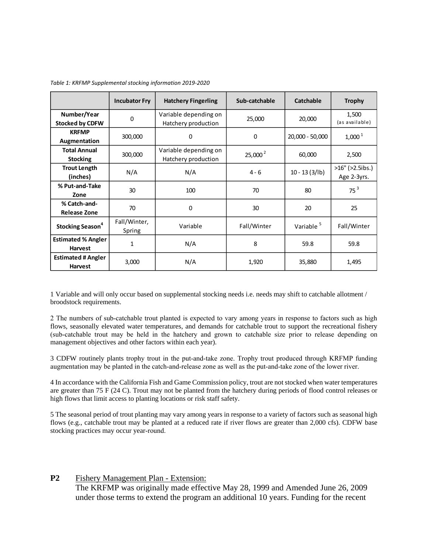|                                             | <b>Incubator Fry</b>   | <b>Hatchery Fingerling</b>                   | Sub-catchable | Catchable             | <b>Trophy</b>                         |
|---------------------------------------------|------------------------|----------------------------------------------|---------------|-----------------------|---------------------------------------|
| Number/Year<br><b>Stocked by CDFW</b>       | 0                      | Variable depending on<br>Hatchery production | 25,000        | 20,000                | 1,500<br>(as available)               |
| <b>KRFMP</b><br>Augmentation                | 300,000                | 0                                            | 0             | 20,000 - 50,000       | $1,000^1$                             |
| <b>Total Annual</b><br><b>Stocking</b>      | 300,000                | Variable depending on<br>Hatchery production | $25,000^2$    | 60,000                | 2,500                                 |
| <b>Trout Length</b><br>(inches)             | N/A                    | N/A                                          | $4 - 6$       | $10 - 13(3/1b)$       | $>16''$ ( $>2.5$ ibs.)<br>Age 2-3yrs. |
| % Put-and-Take<br>Zone                      | 30                     | 100                                          | 70            | 80                    | 75 <sup>3</sup>                       |
| % Catch-and-<br><b>Release Zone</b>         | 70                     | 0                                            | 30            | 20                    | 25                                    |
| <b>Stocking Season<sup>4</sup></b>          | Fall/Winter,<br>Spring | Variable                                     | Fall/Winter   | Variable <sup>5</sup> | Fall/Winter                           |
| <b>Estimated % Angler</b><br><b>Harvest</b> | $\mathbf{1}$           | N/A                                          | 8             | 59.8                  | 59.8                                  |
| <b>Estimated # Angler</b><br><b>Harvest</b> | 3,000                  | N/A                                          | 1,920         | 35,880                | 1,495                                 |

*Table 1: KRFMP Supplemental stocking information 2019-2020*

1 Variable and will only occur based on supplemental stocking needs i.e. needs may shift to catchable allotment / broodstock requirements.

2 The numbers of sub‐catchable trout planted is expected to vary among years in response to factors such as high flows, seasonally elevated water temperatures, and demands for catchable trout to support the recreational fishery (sub‐catchable trout may be held in the hatchery and grown to catchable size prior to release depending on management objectives and other factors within each year).

3 CDFW routinely plants trophy trout in the put‐and‐take zone. Trophy trout produced through KRFMP funding augmentation may be planted in the catch‐and‐release zone as well as the put‐and‐take zone of the lower river.

4 In accordance with the California Fish and Game Commission policy, trout are not stocked when water temperatures are greater than 75 F (24 C). Trout may not be planted from the hatchery during periods of flood control releases or high flows that limit access to planting locations or risk staff safety.

5 The seasonal period of trout planting may vary among years in response to a variety of factors such as seasonal high flows (e.g., catchable trout may be planted at a reduced rate if river flows are greater than 2,000 cfs). CDFW base stocking practices may occur year-round.

#### **P2** Fishery Management Plan - Extension:

The KRFMP was originally made effective May 28, 1999 and Amended June 26, 2009 under those terms to extend the program an additional 10 years. Funding for the recent